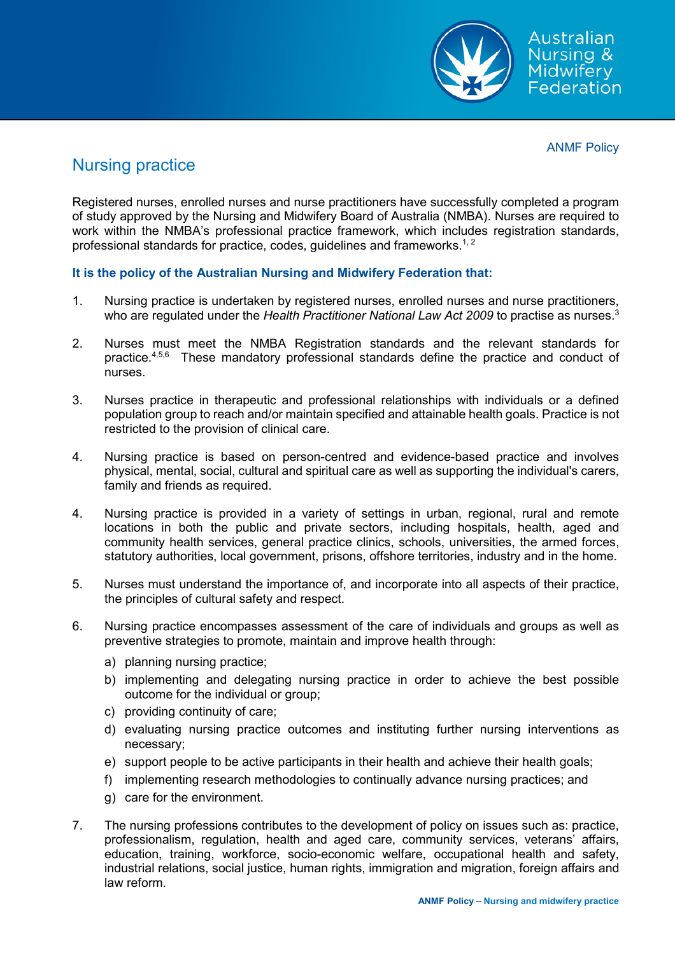

ANMF Policy

## Nursing practice

Registered nurses, enrolled nurses and nurse practitioners have successfully completed a program of study approved by the Nursing and Midwifery Board of Australia (NMBA). Nurses are required to work within the NMBA's professional practice framework, which includes registration standards, professional standards for practice, codes, guidelines and frameworks. $^{\rm 1, \, 2}$ 

## **It is the policy of the Australian Nursing and Midwifery Federation that:**

- 1. Nursing practice is undertaken by registered nurses, enrolled nurses and nurse practitioners, who are regulated under the *Health Practitioner National Law Act 2009* to practise as nurses. 3
- 2. Nurses must meet the NMBA Registration standards and the relevant standards for practice.<sup>4,5,6</sup> These mandatory professional standards define the practice and conduct of nurses.
- 3. Nurses practice in therapeutic and professional relationships with individuals or a defined population group to reach and/or maintain specified and attainable health goals. Practice is not restricted to the provision of clinical care.
- 4. Nursing practice is based on person-centred and evidence-based practice and involves physical, mental, social, cultural and spiritual care as well as supporting the individual's carers, family and friends as required.
- 4. Nursing practice is provided in a variety of settings in urban, regional, rural and remote locations in both the public and private sectors, including hospitals, health, aged and community health services, general practice clinics, schools, universities, the armed forces, statutory authorities, local government, prisons, offshore territories, industry and in the home.
- 5. Nurses must understand the importance of, and incorporate into all aspects of their practice, the principles of cultural safety and respect.
- 6. Nursing practice encompasses assessment of the care of individuals and groups as well as preventive strategies to promote, maintain and improve health through:
	- a) planning nursing practice;
	- b) implementing and delegating nursing practice in order to achieve the best possible outcome for the individual or group;
	- c) providing continuity of care;
	- d) evaluating nursing practice outcomes and instituting further nursing interventions as necessary;
	- e) support people to be active participants in their health and achieve their health goals;
	- f) implementing research methodologies to continually advance nursing practices; and
	- g) care for the environment.
- 7. The nursing professions contributes to the development of policy on issues such as: practice, professionalism, regulation, health and aged care, community services, veterans' affairs, education, training, workforce, socio-economic welfare, occupational health and safety, industrial relations, social justice, human rights, immigration and migration, foreign affairs and law reform.